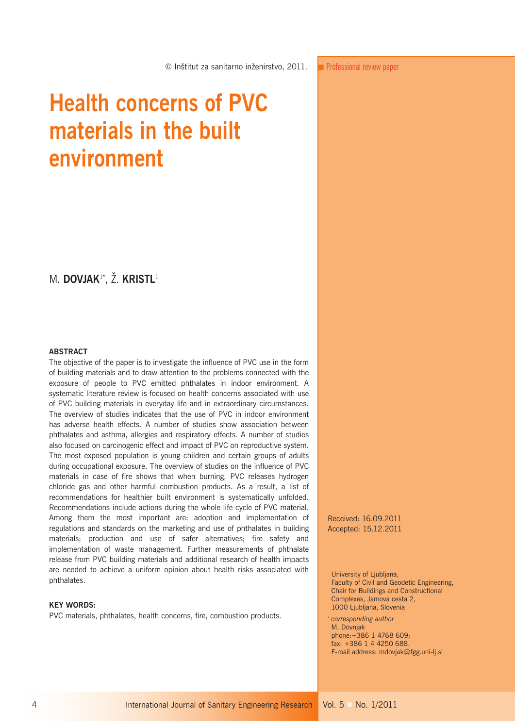# **Health concerns of PVC materials in the built environment**

## M. **DOVJAK**1\*, Ž. **KRISTL**<sup>1</sup>

#### **ABSTRACT**

The objective of the paper is to investigate the influence of PVC use in the form of building materials and to draw attention to the problems connected with the exposure of people to PVC emitted phthalates in indoor environment. A systematic literature review is focused on health concerns associated with use of PVC building materials in everyday life and in extraordinary circumstances. The overview of studies indicates that the use of PVC in indoor environment has adverse health effects. A number of studies show association between phthalates and asthma, allergies and respiratory effects. A number of studies also focused on carcinogenic effect and impact of PVC on reproductive system. The most exposed population is young children and certain groups of adults during occupational exposure. The overview of studies on the influence of PVC materials in case of fire shows that when burning, PVC releases hydrogen chloride gas and other harmful combustion products. As a result, a list of recommendations for healthier built environment is systematically unfolded. Recommendations include actions during the whole life cycle of PVC material. Among them the most important are: adoption and implementation of regulations and standards on the marketing and use of phthalates in building materials; production and use of safer alternatives; fire safety and implementation of waste management. Further measurements of phthalate release from PVC building materials and additional research of health impacts are needed to achieve a uniform opinion about health risks associated with phthalates.

### **KEY WORDS:**

PVC materials, phthalates, health concerns, fire, combustion products.

Received: 16.09.2011 Accepted: 15.12.2011

University of Ljubljana, Faculty of Civil and Geodetic Engineering, Chair for Buildings and Constructional Complexes, Jamova cesta 2, 1000 Ljubljana, Slovenia

*corresponding author* M. Dovnjak phone:+386 1 4768 609; fax: +386 1 4 4250 688. E-mail address: mdovjak@fgg.uni-lj.si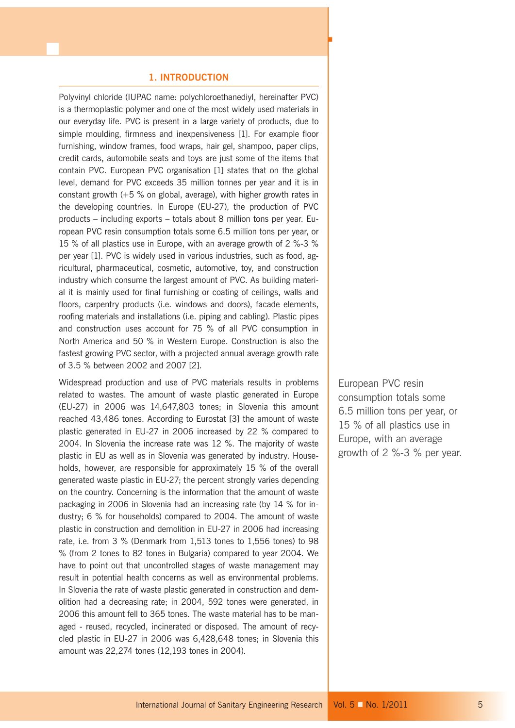## **1. INTRODUCTION**

Polyvinyl chloride (IUPAC name: polychloroethanediyl, hereinafter PVC) is a thermoplastic polymer and one of the most widely used materials in our everyday life. PVC is present in a large variety of products, due to simple moulding, firmness and inexpensiveness [1]. For example floor furnishing, window frames, food wraps, hair gel, shampoo, paper clips, credit cards, automobile seats and toys are just some of the items that contain PVC. European PVC organisation [1] states that on the global level, demand for PVC exceeds 35 million tonnes per year and it is in constant growth  $(+5\%$  on global, average), with higher growth rates in the developing countries. In Europe (EU-27), the production of PVC products – including exports – totals about 8 million tons per year. European PVC resin consumption totals some 6.5 million tons per year, or 15 % of all plastics use in Europe, with an average growth of 2 %-3 % per year [1]. PVC is widely used in various industries, such as food, agricultural, pharmaceutical, cosmetic, automotive, toy, and construction industry which consume the largest amount of PVC. As building material it is mainly used for final furnishing or coating of ceilings, walls and floors, carpentry products (i.e. windows and doors), facade elements, roofing materials and installations (i.e. piping and cabling). Plastic pipes and construction uses account for 75 % of all PVC consumption in North America and 50 % in Western Europe. Construction is also the fastest growing PVC sector, with a projected annual average growth rate of 3.5 % between 2002 and 2007 [2].

Widespread production and use of PVC materials results in problems related to wastes. The amount of waste plastic generated in Europe (EU-27) in 2006 was 14,647,803 tones; in Slovenia this amount reached 43,486 tones. According to Eurostat [3] the amount of waste plastic generated in EU-27 in 2006 increased by 22 % compared to 2004. In Slovenia the increase rate was 12 %. The majority of waste plastic in EU as well as in Slovenia was generated by industry. Households, however, are responsible for approximately 15 % of the overall generated waste plastic in EU-27; the percent strongly varies depending on the country. Concerning is the information that the amount of waste packaging in 2006 in Slovenia had an increasing rate (by 14 % for industry; 6 % for households) compared to 2004. The amount of waste plastic in construction and demolition in EU-27 in 2006 had increasing rate, i.e. from 3 % (Denmark from 1,513 tones to 1,556 tones) to 98 % (from 2 tones to 82 tones in Bulgaria) compared to year 2004. We have to point out that uncontrolled stages of waste management may result in potential health concerns as well as environmental problems. In Slovenia the rate of waste plastic generated in construction and demolition had a decreasing rate; in 2004, 592 tones were generated, in 2006 this amount fell to 365 tones. The waste material has to be managed - reused, recycled, incinerated or disposed. The amount of recycled plastic in EU-27 in 2006 was 6,428,648 tones; in Slovenia this amount was 22,274 tones (12,193 tones in 2004).

European PVC resin consumption totals some 6.5 million tons per year, or 15 % of all plastics use in Europe, with an average growth of 2 %-3 % per year.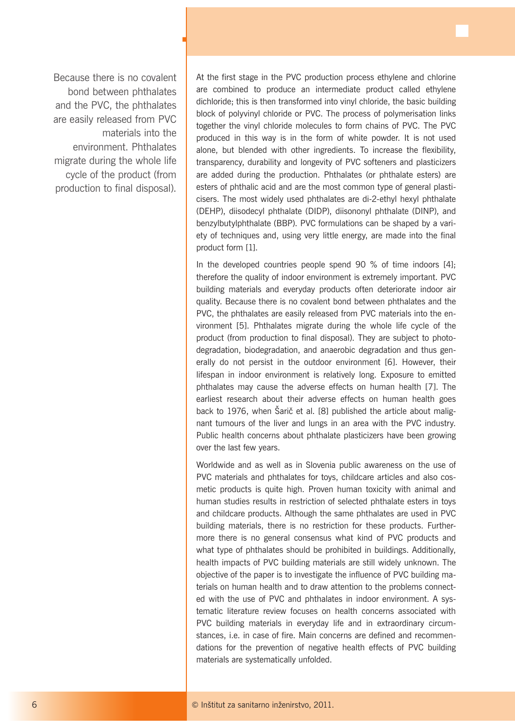Because there is no covalent bond between phthalates and the PVC, the phthalates are easily released from PVC materials into the environment. Phthalates migrate during the whole life cycle of the product (from production to final disposal).

ц

At the first stage in the PVC production process ethylene and chlorine are combined to produce an intermediate product called ethylene dichloride; this is then transformed into vinyl chloride, the basic building block of polyvinyl chloride or PVC. The process of polymerisation links together the vinyl chloride molecules to form chains of PVC. The PVC produced in this way is in the form of white powder. It is not used alone, but blended with other ingredients. To increase the flexibility, transparency, durability and longevity of PVC softeners and plasticizers are added during the production. Phthalates (or phthalate esters) are esters of phthalic acid and are the most common type of general plasticisers. The most widely used phthalates are di-2-ethyl hexyl phthalate (DEHP), diisodecyl phthalate (DIDP), diisononyl phthalate (DINP), and benzylbutylphthalate (BBP). PVC formulations can be shaped by a variety of techniques and, using very little energy, are made into the final product form [1].

In the developed countries people spend 90 % of time indoors [4]: therefore the quality of indoor environment is extremely important. PVC building materials and everyday products often deteriorate indoor air quality. Because there is no covalent bond between phthalates and the PVC, the phthalates are easily released from PVC materials into the environment [5]. Phthalates migrate during the whole life cycle of the product (from production to final disposal). They are subject to photodegradation, biodegradation, and anaerobic degradation and thus generally do not persist in the outdoor environment [6]. However, their lifespan in indoor environment is relatively long. Exposure to emitted phthalates may cause the adverse effects on human health [7]. The earliest research about their adverse effects on human health goes back to 1976, when Šarič et al. [8] published the article about malignant tumours of the liver and lungs in an area with the PVC industry. Public health concerns about phthalate plasticizers have been growing over the last few years.

Worldwide and as well as in Slovenia public awareness on the use of PVC materials and phthalates for toys, childcare articles and also cosmetic products is quite high. Proven human toxicity with animal and human studies results in restriction of selected phthalate esters in toys and childcare products. Although the same phthalates are used in PVC building materials, there is no restriction for these products. Furthermore there is no general consensus what kind of PVC products and what type of phthalates should be prohibited in buildings. Additionally, health impacts of PVC building materials are still widely unknown. The objective of the paper is to investigate the influence of PVC building materials on human health and to draw attention to the problems connected with the use of PVC and phthalates in indoor environment. A systematic literature review focuses on health concerns associated with PVC building materials in everyday life and in extraordinary circumstances, i.e. in case of fire. Main concerns are defined and recommendations for the prevention of negative health effects of PVC building materials are systematically unfolded.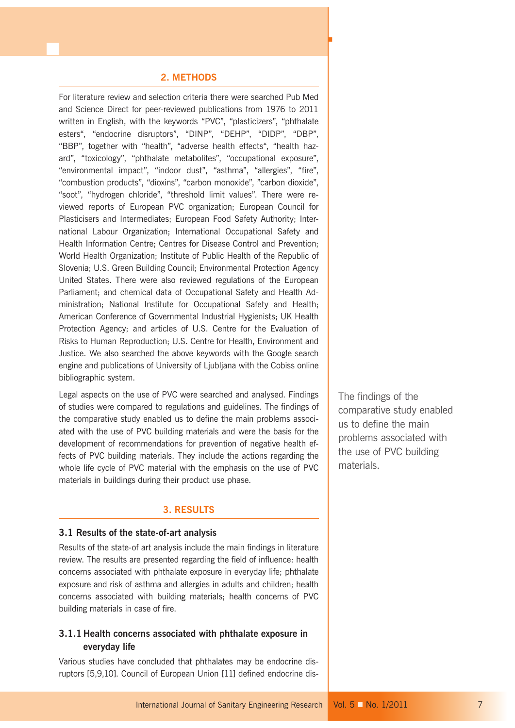## **2. METHODS**

For literature review and selection criteria there were searched Pub Med and Science Direct for peer-reviewed publications from 1976 to 2011 written in English, with the keywords "PVC", "plasticizers", "phthalate esters", "endocrine disruptors", "DINP", "DEHP", "DIDP", "DBP", "BBP", together with "health", "adverse health effects", "health hazard", "toxicology", "phthalate metabolites", "occupational exposure", "environmental impact", "indoor dust", "asthma", "allergies", "fire", "combustion products", "dioxins", "carbon monoxide", "carbon dioxide", "soot", "hydrogen chloride", "threshold limit values". There were reviewed reports of European PVC organization; European Council for Plasticisers and Intermediates; European Food Safety Authority; International Labour Organization; International Occupational Safety and Health Information Centre; Centres for Disease Control and Prevention; World Health Organization; Institute of Public Health of the Republic of Slovenia; U.S. Green Building Council; Environmental Protection Agency United States. There were also reviewed regulations of the European Parliament; and chemical data of Occupational Safety and Health Administration; National Institute for Occupational Safety and Health; American Conference of Governmental Industrial Hygienists; UK Health Protection Agency; and articles of U.S. Centre for the Evaluation of Risks to Human Reproduction; U.S. Centre for Health, Environment and Justice. We also searched the above keywords with the Google search engine and publications of University of Ljubljana with the Cobiss online bibliographic system.

Legal aspects on the use of PVC were searched and analysed. Findings of studies were compared to regulations and guidelines. The findings of the comparative study enabled us to define the main problems associated with the use of PVC building materials and were the basis for the development of recommendations for prevention of negative health effects of PVC building materials. They include the actions regarding the whole life cycle of PVC material with the emphasis on the use of PVC materials in buildings during their product use phase.

## **3. RESULTS**

## **3.1 Results of the state-of-art analysis**

Results of the state-of art analysis include the main findings in literature review. The results are presented regarding the field of influence: health concerns associated with phthalate exposure in everyday life; phthalate exposure and risk of asthma and allergies in adults and children; health concerns associated with building materials; health concerns of PVC building materials in case of fire.

## **3.1.1 Health concerns associated with phthalate exposure in everyday life**

Various studies have concluded that phthalates may be endocrine disruptors [5,9,10]. Council of European Union [11] defined endocrine disThe findings of the comparative study enabled us to define the main problems associated with the use of PVC building materials.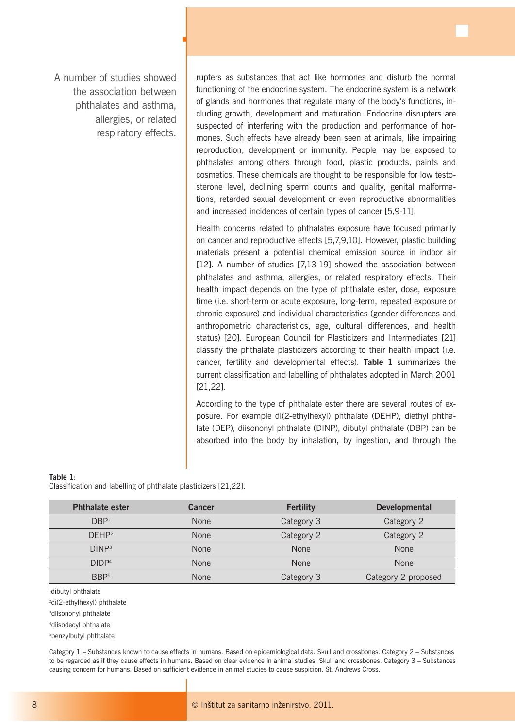A number of studies showed the association between phthalates and asthma, allergies, or related respiratory effects. ц

rupters as substances that act like hormones and disturb the normal functioning of the endocrine system. The endocrine system is a network of glands and hormones that regulate many of the body's functions, including growth, development and maturation. Endocrine disrupters are suspected of interfering with the production and performance of hormones. Such effects have already been seen at animals, like impairing reproduction, development or immunity. People may be exposed to phthalates among others through food, plastic products, paints and cosmetics. These chemicals are thought to be responsible for low testosterone level, declining sperm counts and quality, genital malformations, retarded sexual development or even reproductive abnormalities and increased incidences of certain types of cancer [5,9-11].

Health concerns related to phthalates exposure have focused primarily on cancer and reproductive effects [5,7,9,10]. However, plastic building materials present a potential chemical emission source in indoor air [12]. A number of studies [7,13-19] showed the association between phthalates and asthma, allergies, or related respiratory effects. Their health impact depends on the type of phthalate ester, dose, exposure time (i.e. short-term or acute exposure, long-term, repeated exposure or chronic exposure) and individual characteristics (gender differences and anthropometric characteristics, age, cultural differences, and health status) [20]. European Council for Plasticizers and Intermediates [21] classify the phthalate plasticizers according to their health impact (i.e. cancer, fertility and developmental effects). **Table 1** summarizes the current classification and labelling of phthalates adopted in March 2001 [21,22].

According to the type of phthalate ester there are several routes of exposure. For example di(2-ethylhexyl) phthalate (DEHP), diethyl phthalate (DEP), diisononyl phthalate (DINP), dibutyl phthalate (DBP) can be absorbed into the body by inhalation, by ingestion, and through the

**Table 1**:

Classification and labelling of phthalate plasticizers [21,22].

| <b>Phthalate ester</b> | <b>Cancer</b> | <b>Fertility</b> | <b>Developmental</b> |
|------------------------|---------------|------------------|----------------------|
| DBP <sup>1</sup>       | <b>None</b>   | Category 3       | Category 2           |
| DFHP <sup>2</sup>      | <b>None</b>   | Category 2       | Category 2           |
| DINP <sup>3</sup>      | <b>None</b>   | None             | <b>None</b>          |
| DIDP <sup>4</sup>      | <b>None</b>   | <b>None</b>      | <b>None</b>          |
| BBP <sup>5</sup>       | <b>None</b>   | Category 3       | Category 2 proposed  |

1 dibutyl phthalate

<sup>2</sup>di(2-ethylhexyl) phthalate

3diisononyl phthalate

4diisodecyl phthalate

5benzylbutyl phthalate

Category 1 – Substances known to cause effects in humans. Based on epidemiological data. Skull and crossbones. Category 2 – Substances to be regarded as if they cause effects in humans. Based on clear evidence in animal studies. Skull and crossbones. Category 3 – Substances causing concern for humans. Based on sufficient evidence in animal studies to cause suspicion. St. Andrews Cross.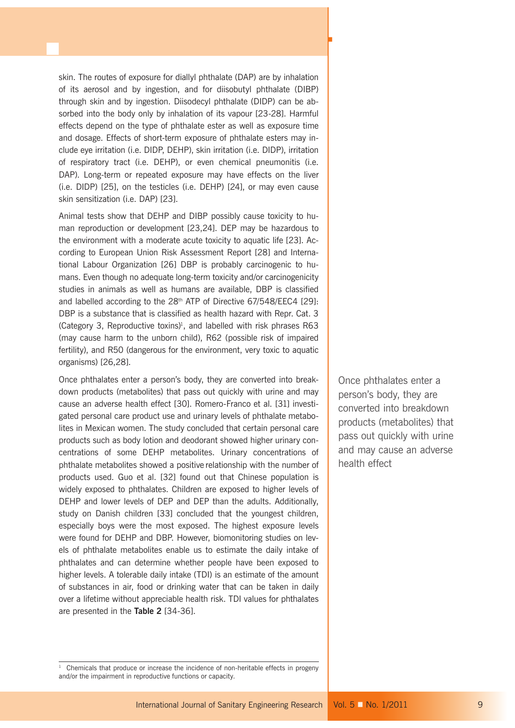skin. The routes of exposure for diallyl phthalate (DAP) are by inhalation of its aerosol and by ingestion, and for diisobutyl phthalate (DIBP) through skin and by ingestion. Diisodecyl phthalate (DIDP) can be absorbed into the body only by inhalation of its vapour [23-28]. Harmful effects depend on the type of phthalate ester as well as exposure time and dosage. Effects of short-term exposure of phthalate esters may include eye irritation (i.e. DIDP, DEHP), skin irritation (i.e. DIDP), irritation of respiratory tract (i.e. DEHP), or even chemical pneumonitis (i.e. DAP). Long-term or repeated exposure may have effects on the liver (i.e. DIDP) [25], on the testicles (i.e. DEHP) [24], or may even cause skin sensitization (i.e. DAP) [23].

Animal tests show that DEHP and DIBP possibly cause toxicity to human reproduction or development [23,24]. DEP may be hazardous to the environment with a moderate acute toxicity to aquatic life [23]. According to European Union Risk Assessment Report [28] and International Labour Organization [26] DBP is probably carcinogenic to humans. Even though no adequate long-term toxicity and/or carcinogenicity studies in animals as well as humans are available, DBP is classified and labelled according to the  $28<sup>th</sup>$  ATP of Directive 67/548/EEC4 [29]: DBP is a substance that is classified as health hazard with Repr. Cat. 3 (Category 3, Reproductive toxins)<sup>1</sup>, and labelled with risk phrases R63 (may cause harm to the unborn child), R62 (possible risk of impaired fertility), and R50 (dangerous for the environment, very toxic to aquatic organisms) [26,28].

Once phthalates enter a person's body, they are converted into breakdown products (metabolites) that pass out quickly with urine and may cause an adverse health effect [30]. Romero-Franco et al. [31] investigated personal care product use and urinary levels of phthalate metabolites in Mexican women. The study concluded that certain personal care products such as body lotion and deodorant showed higher urinary concentrations of some DEHP metabolites. Urinary concentrations of phthalate metabolites showed a positive relationship with the number of products used. Guo et al. [32] found out that Chinese population is widely exposed to phthalates. Children are exposed to higher levels of DEHP and lower levels of DEP and DEP than the adults. Additionally, study on Danish children [33] concluded that the youngest children, especially boys were the most exposed. The highest exposure levels were found for DEHP and DBP. However, biomonitoring studies on levels of phthalate metabolites enable us to estimate the daily intake of phthalates and can determine whether people have been exposed to higher levels. A tolerable daily intake (TDI) is an estimate of the amount of substances in air, food or drinking water that can be taken in daily over a lifetime without appreciable health risk. TDI values for phthalates are presented in the **Table 2** [34-36].

Once phthalates enter a person's body, they are converted into breakdown products (metabolites) that pass out quickly with urine and may cause an adverse health effect

<sup>1</sup> Chemicals that produce or increase the incidence of non-heritable effects in progeny and/or the impairment in reproductive functions or capacity.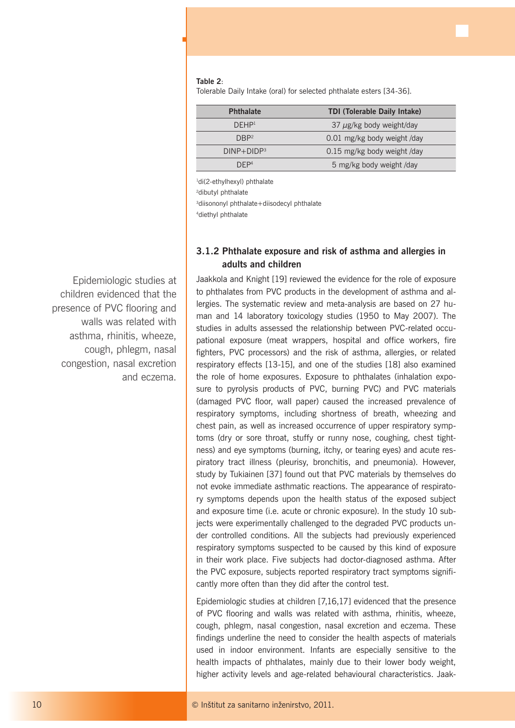## **Table 2**:

ц

Tolerable Daily Intake (oral) for selected phthalate esters [34-36].

| <b>Phthalate</b>  | <b>TDI (Tolerable Daily Intake)</b> |
|-------------------|-------------------------------------|
| DFHP <sup>1</sup> | 37 $\mu$ g/kg body weight/day       |
| DRP <sup>2</sup>  | 0.01 mg/kg body weight /day         |
| $DINP+DIDP3$      | 0.15 mg/kg body weight /day         |
| DFP <sup>4</sup>  | 5 mg/kg body weight /day            |

1 di(2-ethylhexyl) phthalate

2 dibutyl phthalate

<sup>3</sup>diisononyl phthalate+diisodecyl phthalate

4diethyl phthalate

## **3.1.2 Phthalate exposure and risk of asthma and allergies in adults and children**

Jaakkola and Knight [19] reviewed the evidence for the role of exposure to phthalates from PVC products in the development of asthma and allergies. The systematic review and meta-analysis are based on 27 human and 14 laboratory toxicology studies (1950 to May 2007). The studies in adults assessed the relationship between PVC-related occupational exposure (meat wrappers, hospital and office workers, fire fighters, PVC processors) and the risk of asthma, allergies, or related respiratory effects [13-15], and one of the studies [18] also examined the role of home exposures. Exposure to phthalates (inhalation exposure to pyrolysis products of PVC, burning PVC) and PVC materials (damaged PVC floor, wall paper) caused the increased prevalence of respiratory symptoms, including shortness of breath, wheezing and chest pain, as well as increased occurrence of upper respiratory symptoms (dry or sore throat, stuffy or runny nose, coughing, chest tightness) and eye symptoms (burning, itchy, or tearing eyes) and acute respiratory tract illness (pleurisy, bronchitis, and pneumonia). However, study by Tukiainen [37] found out that PVC materials by themselves do not evoke immediate asthmatic reactions. The appearance of respiratory symptoms depends upon the health status of the exposed subject and exposure time (i.e. acute or chronic exposure). In the study 10 subjects were experimentally challenged to the degraded PVC products under controlled conditions. All the subjects had previously experienced respiratory symptoms suspected to be caused by this kind of exposure in their work place. Five subjects had doctor-diagnosed asthma. After the PVC exposure, subjects reported respiratory tract symptoms significantly more often than they did after the control test.

Epidemiologic studies at children [7,16,17] evidenced that the presence of PVC flooring and walls was related with asthma, rhinitis, wheeze, cough, phlegm, nasal congestion, nasal excretion and eczema. These findings underline the need to consider the health aspects of materials used in indoor environment. Infants are especially sensitive to the health impacts of phthalates, mainly due to their lower body weight, higher activity levels and age-related behavioural characteristics. Jaak-

Epidemiologic studies at children evidenced that the presence of PVC flooring and walls was related with asthma, rhinitis, wheeze, cough, phlegm, nasal congestion, nasal excretion and eczema.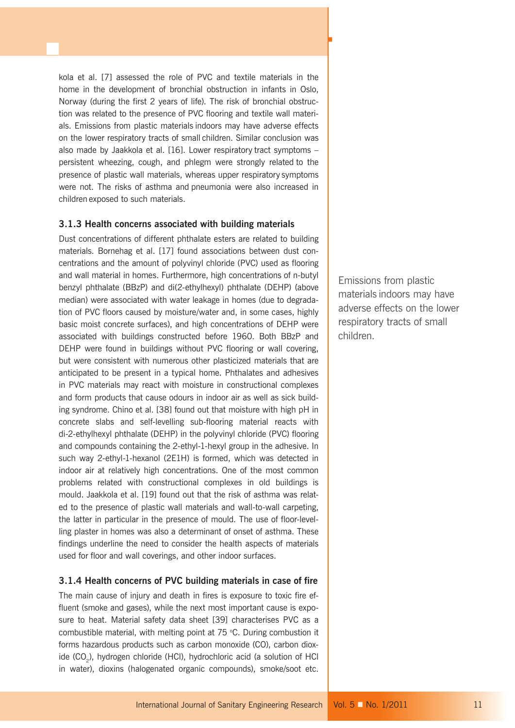kola et al. [7] assessed the role of PVC and textile materials in the home in the development of bronchial obstruction in infants in Oslo, Norway (during the first 2 years of life). The risk of bronchial obstruction was related to the presence of PVC flooring and textile wall materials. Emissions from plastic materials indoors may have adverse effects on the lower respiratory tracts of small children. Similar conclusion was also made by Jaakkola et al. [16]. Lower respiratory tract symptoms – persistent wheezing, cough, and phlegm were strongly related to the presence of plastic wall materials, whereas upper respiratory symptoms were not. The risks of asthma and pneumonia were also increased in children exposed to such materials.

## **3.1.3 Health concerns associated with building materials**

Dust concentrations of different phthalate esters are related to building materials. Bornehag et al. [17] found associations between dust concentrations and the amount of polyvinyl chloride (PVC) used as flooring and wall material in homes. Furthermore, high concentrations of n-butyl benzyl phthalate (BBzP) and di(2-ethylhexyl) phthalate (DEHP) (above median) were associated with water leakage in homes (due to degradation of PVC floors caused by moisture/water and, in some cases, highly basic moist concrete surfaces), and high concentrations of DEHP were associated with buildings constructed before 1960. Both BBzP and DEHP were found in buildings without PVC flooring or wall covering, but were consistent with numerous other plasticized materials that are anticipated to be present in a typical home. Phthalates and adhesives in PVC materials may react with moisture in constructional complexes and form products that cause odours in indoor air as well as sick building syndrome. Chino et al. [38] found out that moisture with high pH in concrete slabs and self-levelling sub-flooring material reacts with di-2-ethylhexyl phthalate (DEHP) in the polyvinyl chloride (PVC) flooring and compounds containing the 2-ethyl-1-hexyl group in the adhesive. In such way 2-ethyl-1-hexanol (2E1H) is formed, which was detected in indoor air at relatively high concentrations. One of the most common problems related with constructional complexes in old buildings is mould. Jaakkola et al. [19] found out that the risk of asthma was related to the presence of plastic wall materials and wall-to-wall carpeting, the latter in particular in the presence of mould. The use of floor-levelling plaster in homes was also a determinant of onset of asthma. These findings underline the need to consider the health aspects of materials used for floor and wall coverings, and other indoor surfaces.

## **3.1.4 Health concerns of PVC building materials in case of fire**

The main cause of injury and death in fires is exposure to toxic fire effluent (smoke and gases), while the next most important cause is exposure to heat. Material safety data sheet [39] characterises PVC as a combustible material, with melting point at 75 °C. During combustion it forms hazardous products such as carbon monoxide (CO), carbon dioxide (CO<sub>2</sub>), hydrogen chloride (HCl), hydrochloric acid (a solution of HCl in water), dioxins (halogenated organic compounds), smoke/soot etc.

Emissions from plastic materials indoors may have adverse effects on the lower respiratory tracts of small children.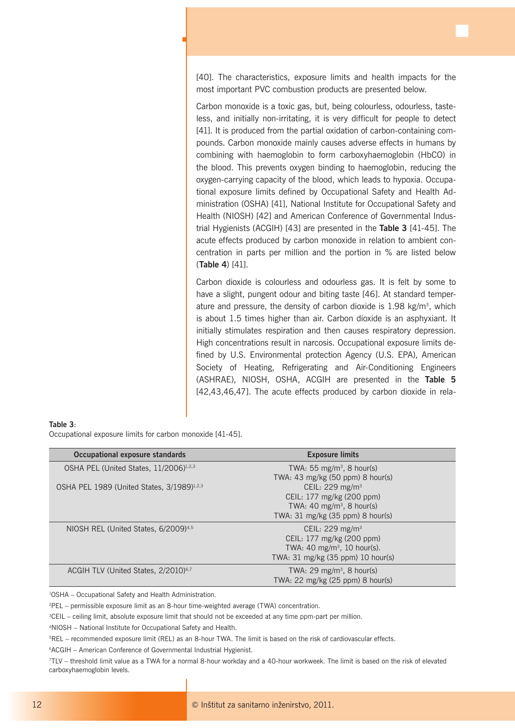[40]. The characteristics, exposure limits and health impacts for the most important PVC combustion products are presented below.

Carbon monoxide is a toxic gas, but, being colourless, odourless, tasteless, and initially non-irritating, it is very difficult for people to detect [41]. It is produced from the partial oxidation of carbon-containing compounds. Carbon monoxide mainly causes adverse effects in humans by combining with haemoglobin to form carboxyhaemoglobin (HbCO) in the blood. This prevents oxygen binding to haemoglobin, reducing the oxygen-carrying capacity of the blood, which leads to hypoxia. Occupational exposure limits defined by Occupational Safety and Health Administration (OSHA) [41], National Institute for Occupational Safety and Health (NIOSH) [42] and American Conference of Governmental Industrial Hygienists (ACGIH) [43] are presented in the **Table 3** [41-45]. The acute effects produced by carbon monoxide in relation to ambient concentration in parts per million and the portion in % are listed below (**Table 4**) [41].

Carbon dioxide is colourless and odourless gas. It is felt by some to have a slight, pungent odour and biting taste [46]. At standard temperature and pressure, the density of carbon dioxide is  $1.98 \text{ kg/m}^3$ , which is about 1.5 times higher than air. Carbon dioxide is an asphyxiant. It initially stimulates respiration and then causes respiratory depression. High concentrations result in narcosis. Occupational exposure limits defined by U.S. Environmental protection Agency (U.S. EPA), American Society of Heating, Refrigerating and Air-Conditioning Engineers (ASHRAE), NIOSH, OSHA, ACGIH are presented in the **Table 5** [42,43,46,47]. The acute effects produced by carbon dioxide in rela-

| Table 3: |  |                                                           |  |
|----------|--|-----------------------------------------------------------|--|
|          |  | Occupational exposure limits for carbon monoxide [41-45]. |  |

ц

| Occupational exposure standards                        | <b>Exposure limits</b>                  |
|--------------------------------------------------------|-----------------------------------------|
| OSHA PEL (United States, 11/2006) <sup>1,2,3</sup>     | TWA: 55 mg/m <sup>3</sup> , 8 hour(s)   |
|                                                        | TWA: 43 mg/kg (50 ppm) 8 hour(s)        |
| OSHA PEL 1989 (United States, 3/1989) <sup>1,2,3</sup> | CEIL: 229 mg/m <sup>3</sup>             |
|                                                        | CEIL: 177 mg/kg (200 ppm)               |
|                                                        | TWA: 40 mg/m <sup>3</sup> , 8 hour(s)   |
|                                                        | TWA: 31 mg/kg (35 ppm) 8 hour(s)        |
| NIOSH REL (United States, 6/2009) <sup>4,5</sup>       | CEIL: $229 \text{ mg/m}^3$              |
|                                                        | CEIL: 177 mg/kg (200 ppm)               |
|                                                        | TWA: 40 mg/m <sup>3</sup> , 10 hour(s). |
|                                                        | TWA: 31 mg/kg (35 ppm) 10 hour(s)       |
| ACGIH TLV (United States, 2/2010) <sup>6,7</sup>       | TWA: $29 \text{ mg/m}^3$ , 8 hour(s)    |
|                                                        | TWA: 22 mg/kg (25 ppm) 8 hour(s)        |

1 OSHA – Occupational Safety and Health Administration.

2 PEL – permissible exposure limit as an 8-hour time-weighted average (TWA) concentration.

3CEIL – ceiling limit, absolute exposure limit that should not be exceeded at any time ppm-part per million.

4NIOSH – National Institute for Occupational Safety and Health.

5REL – recommended exposure limit (REL) as an 8-hour TWA. The limit is based on the risk of cardiovascular effects.

6ACGIH – American Conference of Governmental Industrial Hygienist.

7TLV – threshold limit value as a TWA for a normal 8-hour workday and a 40-hour workweek. The limit is based on the risk of elevated carboxyhaemoglobin levels.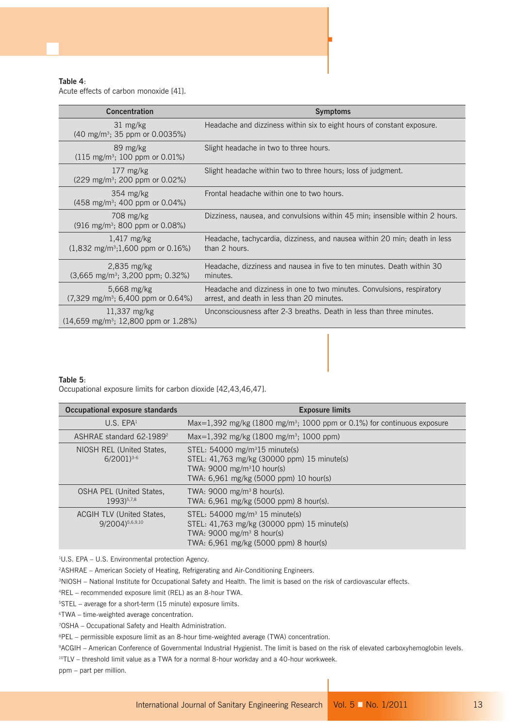## **Table 4**:

Acute effects of carbon monoxide [41].

| <b>Concentration</b>                                                               | <b>Symptoms</b>                                                                                                      |
|------------------------------------------------------------------------------------|----------------------------------------------------------------------------------------------------------------------|
| $31 \text{ mg/kg}$<br>$(40 \text{ mg/m}^3; 35 \text{ ppm or } 0.0035\%)$           | Headache and dizziness within six to eight hours of constant exposure.                                               |
| 89 mg/kg<br>$(115 \text{ mg/m}^3; 100 \text{ ppm or } 0.01\%)$                     | Slight headache in two to three hours.                                                                               |
| $177 \text{ mg/kg}$<br>(229 mg/m <sup>3</sup> ; 200 ppm or 0.02%)                  | Slight headache within two to three hours; loss of judgment.                                                         |
| $354 \text{ mg/kg}$<br>$(458 \text{ mg/m}^3; 400 \text{ ppm or } 0.04\%)$          | Frontal headache within one to two hours.                                                                            |
| 708 mg/kg<br>$(916 \text{ mg/m}^3; 800 \text{ ppm or } 0.08\%)$                    | Dizziness, nausea, and convulsions within 45 min; insensible within 2 hours.                                         |
| $1,417$ mg/kg<br>$(1,832 \text{ mg/m}^3;1,600 \text{ ppm or }0.16\%)$              | Headache, tachycardia, dizziness, and nausea within 20 min; death in less<br>than 2 hours.                           |
| $2,835$ mg/kg<br>$(3,665 \text{ mg/m}^3; 3,200 \text{ ppm}; 0.32\%)$               | Headache, dizziness and nausea in five to ten minutes. Death within 30<br>minutes.                                   |
| 5,668 mg/kg<br>$(7,329 \text{ mg/m}^3; 6,400 \text{ ppm or } 0.64\%)$              | Headache and dizziness in one to two minutes. Convulsions, respiratory<br>arrest, and death in less than 20 minutes. |
| $11,337$ mg/kg<br>$(14,659 \text{ mg/m}^3; 12,800 \text{ ppm} \text{ or } 1.28\%)$ | Unconsciousness after 2-3 breaths. Death in less than three minutes.                                                 |

F

#### **Table 5**:

Occupational exposure limits for carbon dioxide [42,43,46,47].

| Occupational exposure standards                      | <b>Exposure limits</b>                                                                                                                                                                    |
|------------------------------------------------------|-------------------------------------------------------------------------------------------------------------------------------------------------------------------------------------------|
| U.S. EPA <sup>1</sup>                                | Max=1,392 mg/kg (1800 mg/m <sup>3</sup> ; 1000 ppm or 0.1%) for continuous exposure                                                                                                       |
| ASHRAE standard 62-1989 <sup>2</sup>                 | Max=1,392 mg/kg (1800 mg/m <sup>3</sup> ; 1000 ppm)                                                                                                                                       |
| NIOSH REL (United States,<br>$6/2001$ <sup>3-6</sup> | STEL: $54000 \text{ mg/m}^315 \text{ minute(s)}$<br>STEL: 41,763 mg/kg (30000 ppm) 15 minute(s)<br>TWA: $9000 \text{ mg/m}^310 \text{ hour(s)}$<br>TWA: 6,961 mg/kg (5000 ppm) 10 hour(s) |
| <b>OSHA PEL (United States,</b><br>1993)5,7,8        | TWA: 9000 mg/m <sup>3</sup> 8 hour(s).<br>TWA: 6,961 mg/kg (5000 ppm) 8 hour(s).                                                                                                          |
| <b>ACGIH TLV (United States,</b><br>9/2004) 5,6,9,10 | STEL: $54000 \text{ mg/m}^3$ 15 minute(s)<br>STEL: 41,763 mg/kg (30000 ppm) 15 minute(s)<br>TWA: $9000 \text{ mg/m}^3$ 8 hour(s)<br>TWA: 6,961 mg/kg (5000 ppm) 8 hour(s)                 |

1 U.S. EPA – U.S. Environmental protection Agency.

2ASHRAE – American Society of Heating, Refrigerating and Air-Conditioning Engineers.

<sup>3</sup>NIOSH – National Institute for Occupational Safety and Health. The limit is based on the risk of cardiovascular effects.

4REL – recommended exposure limit (REL) as an 8-hour TWA.

5STEL – average for a short-term (15 minute) exposure limits.

6TWA – time-weighted average concentration.

7 OSHA – Occupational Safety and Health Administration.

8PEL – permissible exposure limit as an 8-hour time-weighted average (TWA) concentration.

9ACGIH – American Conference of Governmental Industrial Hygienist. The limit is based on the risk of elevated carboxyhemoglobin levels.

 $10$ TLV – threshold limit value as a TWA for a normal 8-hour workday and a 40-hour workweek.

ppm – part per million.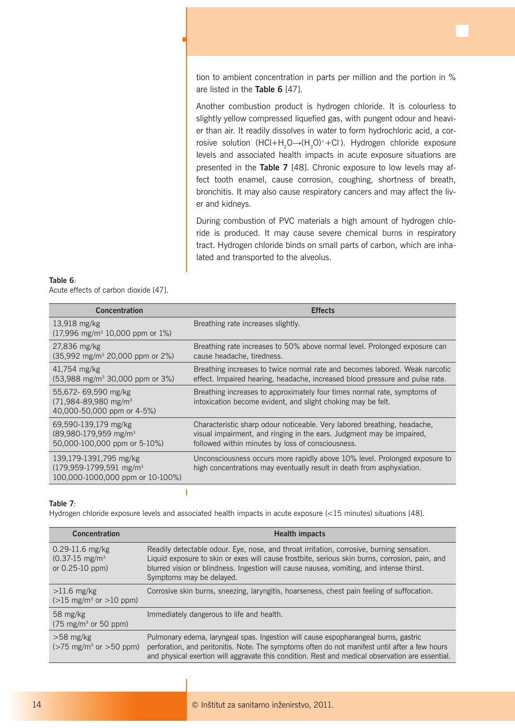tion to ambient concentration in parts per million and the portion in % are listed in the **Table 6** [47].

Another combustion product is hydrogen chloride. It is colourless to slightly yellow compressed liquefied gas, with pungent odour and heavier than air. It readily dissolves in water to form hydrochloric acid, a corrosive solution (HCl+H<sub>2</sub>O→(H<sub>3</sub>O)++Cl·). Hydrogen chloride exposure levels and associated health impacts in acute exposure situations are presented in the **Table 7** [48]. Chronic exposure to low levels may affect tooth enamel, cause corrosion, coughing, shortness of breath, bronchitis. It may also cause respiratory cancers and may affect the liver and kidneys.

During combustion of PVC materials a high amount of hydrogen chloride is produced. It may cause severe chemical burns in respiratory tract. Hydrogen chloride binds on small parts of carbon, which are inhalated and transported to the alveolus.

| Table 6: |  |                                       |  |
|----------|--|---------------------------------------|--|
|          |  | Acute effects of carbon dioxide [47]. |  |

ц

| <b>Concentration</b>                                                                              | <b>Effects</b>                                                                                                                                                                                         |
|---------------------------------------------------------------------------------------------------|--------------------------------------------------------------------------------------------------------------------------------------------------------------------------------------------------------|
| $13,918$ mg/kg<br>$(17,996 \text{ mg/m}^3 \cdot 10,000 \text{ ppm or } 1\%)$                      | Breathing rate increases slightly.                                                                                                                                                                     |
| $27,836$ mg/kg<br>$(35,992 \text{ mg/m}^3 20,000 \text{ ppm or } 2\%)$                            | Breathing rate increases to 50% above normal level. Prolonged exposure can<br>cause headache, tiredness.                                                                                               |
| $41,754$ mg/kg<br>$(53,988 \text{ mg/m}^3 30,000 \text{ ppm or } 3\%)$                            | Breathing increases to twice normal rate and becomes labored. Weak narcotic<br>effect. Impaired hearing, headache, increased blood pressure and pulse rate.                                            |
| 55,672- 69,590 mg/kg<br>$(71,984 - 89,980$ mg/m <sup>3</sup><br>40,000-50,000 ppm or 4-5%)        | Breathing increases to approximately four times normal rate, symptoms of<br>intoxication become evident, and slight choking may be felt.                                                               |
| 69,590-139,179 mg/kg<br>(89,980-179,959 mg/m <sup>3</sup><br>50,000-100,000 ppm or 5-10%)         | Characteristic sharp odour noticeable. Very labored breathing, headache,<br>visual impairment, and ringing in the ears. Judgment may be impaired,<br>followed within minutes by loss of consciousness. |
| 139,179-1391,795 mg/kg<br>(179,959-1799,591 mg/m <sup>3</sup><br>100,000-1000,000 ppm or 10-100%) | Unconsciousness occurs more rapidly above 10% level. Prolonged exposure to<br>high concentrations may eventually result in death from asphyxiation.                                                    |

## **Table 7**:

Hydrogen chloride exposure levels and associated health impacts in acute exposure (<15 minutes) situations [48].

 $\overline{1}$ 

| <b>Concentration</b>                                                 | <b>Health impacts</b>                                                                                                                                                                                                                                                                                              |
|----------------------------------------------------------------------|--------------------------------------------------------------------------------------------------------------------------------------------------------------------------------------------------------------------------------------------------------------------------------------------------------------------|
| $0.29 - 11.6$ mg/kg<br>$(0.37-15 \text{ mg/m}^3)$<br>or 0.25-10 ppm) | Readily detectable odour. Eye, nose, and throat irritation, corrosive, burning sensation.<br>Liquid exposure to skin or exes will cause frostbite, serious skin burns, corrosion, pain, and<br>blurred vision or blindness. Ingestion will cause nausea, vomiting, and intense thirst.<br>Symptoms may be delayed. |
| $>11.6$ mg/kg<br>$(>15 \text{ mg/m}^3 \text{ or } >10 \text{ ppm})$  | Corrosive skin burns, sneezing, laryngitis, hoarseness, chest pain feeling of suffocation.                                                                                                                                                                                                                         |
| 58 mg/kg<br>$(75 \text{ mg/m}^3 \text{ or } 50 \text{ ppm})$         | Immediately dangerous to life and health.                                                                                                                                                                                                                                                                          |
| $>58$ mg/kg<br>$($ >75 mg/m <sup>3</sup> or >50 ppm)                 | Pulmonary edema, laryngeal spas. Ingestion will cause espopharangeal burns, gastric<br>perforation, and peritonitis. Note: The symptoms often do not manifest until after a few hours<br>and physical exertion will aggravate this condition. Rest and medical observation are essential.                          |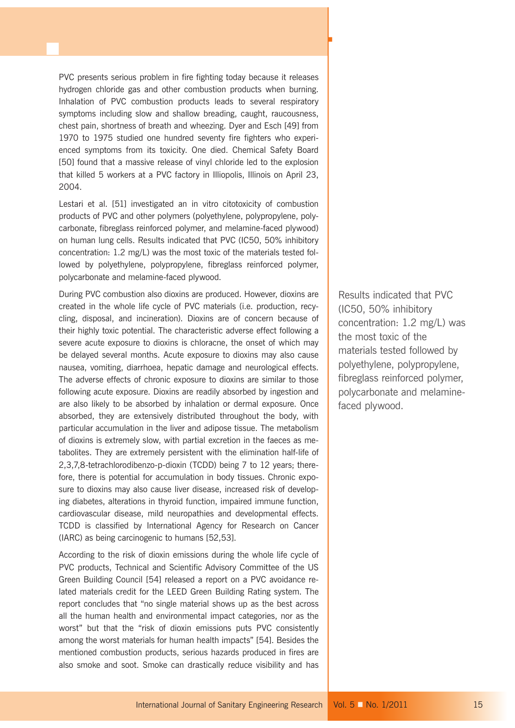PVC presents serious problem in fire fighting today because it releases hydrogen chloride gas and other combustion products when burning. Inhalation of PVC combustion products leads to several respiratory symptoms including slow and shallow breading, caught, raucousness, chest pain, shortness of breath and wheezing. Dyer and Esch [49] from 1970 to 1975 studied one hundred seventy fire fighters who experienced symptoms from its toxicity. One died. Chemical Safety Board [50] found that a massive release of vinyl chloride led to the explosion that killed 5 workers at a PVC factory in Illiopolis, Illinois on April 23, 2004.

Lestari et al. [51] investigated an in vitro citotoxicity of combustion products of PVC and other polymers (polyethylene, polypropylene, polycarbonate, fibreglass reinforced polymer, and melamine-faced plywood) on human lung cells. Results indicated that PVC (IC50, 50% inhibitory concentration: 1.2 mg/L) was the most toxic of the materials tested followed by polyethylene, polypropylene, fibreglass reinforced polymer, polycarbonate and melamine-faced plywood.

During PVC combustion also dioxins are produced. However, dioxins are created in the whole life cycle of PVC materials (i.e. production, recycling, disposal, and incineration). Dioxins are of concern because of their highly toxic potential. The characteristic adverse effect following a severe acute exposure to dioxins is chloracne, the onset of which may be delayed several months. Acute exposure to dioxins may also cause nausea, vomiting, diarrhoea, hepatic damage and neurological effects. The adverse effects of chronic exposure to dioxins are similar to those following acute exposure. Dioxins are readily absorbed by ingestion and are also likely to be absorbed by inhalation or dermal exposure. Once absorbed, they are extensively distributed throughout the body, with particular accumulation in the liver and adipose tissue. The metabolism of dioxins is extremely slow, with partial excretion in the faeces as metabolites. They are extremely persistent with the elimination half-life of 2,3,7,8-tetrachlorodibenzo-p-dioxin (TCDD) being 7 to 12 years; therefore, there is potential for accumulation in body tissues. Chronic exposure to dioxins may also cause liver disease, increased risk of developing diabetes, alterations in thyroid function, impaired immune function, cardiovascular disease, mild neuropathies and developmental effects. TCDD is classified by International Agency for Research on Cancer (IARC) as being carcinogenic to humans [52,53].

According to the risk of dioxin emissions during the whole life cycle of PVC products, Technical and Scientific Advisory Committee of the US Green Building Council [54] released a report on a PVC avoidance related materials credit for the LEED Green Building Rating system. The report concludes that "no single material shows up as the best across all the human health and environmental impact categories, nor as the worst" but that the "risk of dioxin emissions puts PVC consistently among the worst materials for human health impacts" [54]. Besides the mentioned combustion products, serious hazards produced in fires are also smoke and soot. Smoke can drastically reduce visibility and has Results indicated that PVC (IC50, 50% inhibitory concentration: 1.2 mg/L) was the most toxic of the materials tested followed by polyethylene, polypropylene, fibreglass reinforced polymer, polycarbonate and melaminefaced plywood.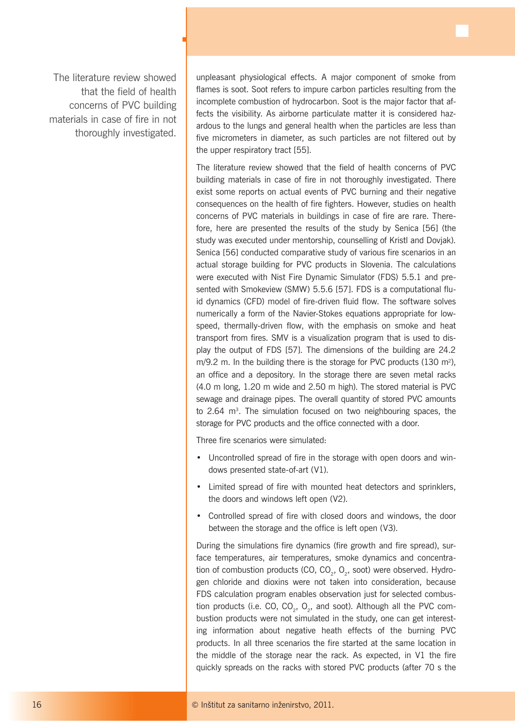The literature review showed that the field of health concerns of PVC building materials in case of fire in not thoroughly investigated.

ц

unpleasant physiological effects. A major component of smoke from flames is soot. Soot refers to impure carbon particles resulting from the incomplete combustion of hydrocarbon. Soot is the major factor that affects the visibility. As airborne particulate matter it is considered hazardous to the lungs and general health when the particles are less than five micrometers in diameter, as such particles are not filtered out by the upper respiratory tract [55].

The literature review showed that the field of health concerns of PVC building materials in case of fire in not thoroughly investigated. There exist some reports on actual events of PVC burning and their negative consequences on the health of fire fighters. However, studies on health concerns of PVC materials in buildings in case of fire are rare. Therefore, here are presented the results of the study by Senica [56] (the study was executed under mentorship, counselling of Kristl and Dovjak). Senica [56] conducted comparative study of various fire scenarios in an actual storage building for PVC products in Slovenia. The calculations were executed with Nist Fire Dynamic Simulator (FDS) 5.5.1 and presented with Smokeview (SMW) 5.5.6 [57]. FDS is a computational fluid dynamics (CFD) model of fire-driven fluid flow. The software solves numerically a form of the Navier-Stokes equations appropriate for lowspeed, thermally-driven flow, with the emphasis on smoke and heat transport from fires. SMV is a visualization program that is used to display the output of FDS [57]. The dimensions of the building are 24.2  $m/9.2$  m. In the building there is the storage for PVC products (130 m<sup>2</sup>), an office and a depository. In the storage there are seven metal racks (4.0 m long, 1.20 m wide and 2.50 m high). The stored material is PVC sewage and drainage pipes. The overall quantity of stored PVC amounts to 2.64 m<sup>3</sup>. The simulation focused on two neighbouring spaces, the storage for PVC products and the office connected with a door.

Three fire scenarios were simulated:

- Uncontrolled spread of fire in the storage with open doors and windows presented state-of-art (V1).
- Limited spread of fire with mounted heat detectors and sprinklers, the doors and windows left open (V2).
- Controlled spread of fire with closed doors and windows, the door between the storage and the office is left open (V3).

During the simulations fire dynamics (fire growth and fire spread), surface temperatures, air temperatures, smoke dynamics and concentration of combustion products (CO, CO<sub>2</sub>, O<sub>2</sub>, soot) were observed. Hydrogen chloride and dioxins were not taken into consideration, because FDS calculation program enables observation just for selected combustion products (i.e. CO, CO<sub>2</sub>, O<sub>2</sub>, and soot). Although all the PVC combustion products were not simulated in the study, one can get interesting information about negative heath effects of the burning PVC products. In all three scenarios the fire started at the same location in the middle of the storage near the rack. As expected, in V1 the fire quickly spreads on the racks with stored PVC products (after 70 s the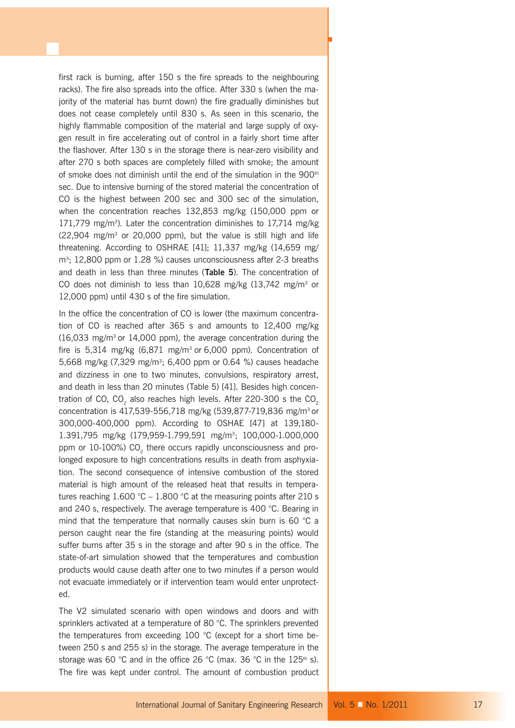first rack is burning, after 150 s the fire spreads to the neighbouring racks). The fire also spreads into the office. After 330 s (when the majority of the material has burnt down) the fire gradually diminishes but does not cease completely until 830 s. As seen in this scenario, the highly flammable composition of the material and large supply of oxygen result in fire accelerating out of control in a fairly short time after the flashover. After 130 s in the storage there is near-zero visibility and after 270 s both spaces are completely filled with smoke; the amount of smoke does not diminish until the end of the simulation in the 900<sup>th</sup> sec. Due to intensive burning of the stored material the concentration of CO is the highest between 200 sec and 300 sec of the simulation, when the concentration reaches 132,853 mg/kg (150,000 ppm or  $171,779$  mg/m<sup>3</sup>). Later the concentration diminishes to  $17,714$  mg/kg  $(22,904 \text{ mg/m}^3 \text{ or } 20,000 \text{ ppm})$ , but the value is still high and life threatening. According to OSHRAE [41]; 11,337 mg/kg (14,659 mg/ m<sup>3</sup>; 12,800 ppm or 1.28 %) causes unconsciousness after 2-3 breaths and death in less than three minutes (**Table 5**). The concentration of CO does not diminish to less than  $10,628$  mg/kg  $(13,742 \text{ mg/m}^3)$  or 12,000 ppm) until 430 s of the fire simulation.

F

In the office the concentration of CO is lower (the maximum concentration of CO is reached after 365 s and amounts to 12,400 mg/kg  $(16,033 \text{ mg/m}^3 \text{ or } 14,000 \text{ ppm})$ , the average concentration during the fire is  $5,314$  mg/kg  $(6,871 \text{ mg/m}^3)$  or  $6,000 \text{ ppm}$ ). Concentration of 5,668 mg/kg (7,329 mg/m3 ; 6,400 ppm or 0.64 %) causes headache and dizziness in one to two minutes, convulsions, respiratory arrest, and death in less than 20 minutes (Table 5) [41]. Besides high concentration of CO,  $CO<sub>2</sub>$  also reaches high levels. After 220-300 s the  $CO<sub>2</sub>$ concentration is 417,539-556,718 mg/kg (539,877-719,836 mg/m3 or 300,000-400,000 ppm). According to OSHAE [47] at 139,180- 1.391,795 mg/kg (179,959-1.799,591 mg/m<sup>3</sup>; 100,000-1.000,000 ppm or 10-100%) CO<sub>2</sub> there occurs rapidly unconsciousness and prolonged exposure to high concentrations results in death from asphyxiation. The second consequence of intensive combustion of the stored material is high amount of the released heat that results in temperatures reaching  $1.600 \degree C - 1.800 \degree C$  at the measuring points after 210 s and 240 s, respectively. The average temperature is 400 °C. Bearing in mind that the temperature that normally causes skin burn is 60 °C a person caught near the fire (standing at the measuring points) would suffer burns after 35 s in the storage and after 90 s in the office. The state-of-art simulation showed that the temperatures and combustion products would cause death after one to two minutes if a person would not evacuate immediately or if intervention team would enter unprotected.

The V2 simulated scenario with open windows and doors and with sprinklers activated at a temperature of 80 °C. The sprinklers prevented the temperatures from exceeding 100 °C (except for a short time between 250 s and 255 s) in the storage. The average temperature in the storage was 60 °C and in the office 26 °C (max. 36 °C in the 125<sup>th</sup> s). The fire was kept under control. The amount of combustion product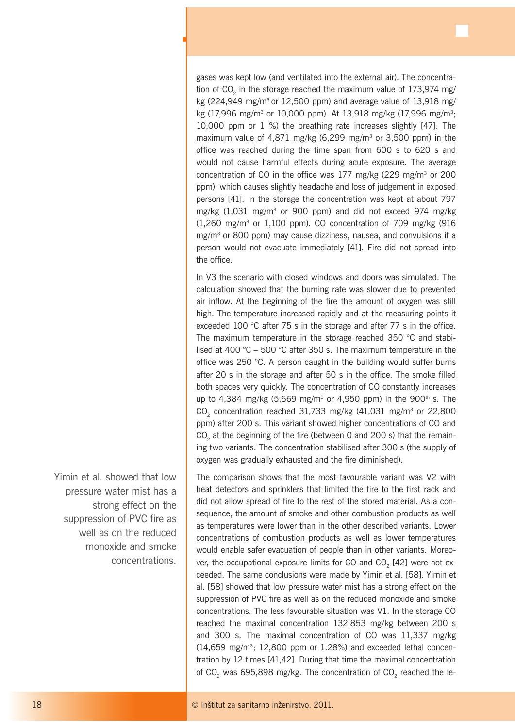gases was kept low (and ventilated into the external air). The concentration of  $CO<sub>2</sub>$  in the storage reached the maximum value of 173,974 mg/ kg (224,949 mg/m<sup>3</sup> or 12,500 ppm) and average value of  $13,918$  mg/ kg (17,996 mg/m<sup>3</sup> or 10,000 ppm). At 13,918 mg/kg (17,996 mg/m<sup>3</sup>; 10,000 ppm or 1 %) the breathing rate increases slightly [47]. The maximum value of 4,871 mg/kg  $(6,299 \text{ mg/m}^3)$  or 3,500 ppm) in the office was reached during the time span from 600 s to 620 s and would not cause harmful effects during acute exposure. The average concentration of CO in the office was 177 mg/kg (229 mg/m<sup>3</sup> or 200 ppm), which causes slightly headache and loss of judgement in exposed persons [41]. In the storage the concentration was kept at about 797 mg/kg  $(1,031 \text{ mg/m}^3 \text{ or } 900 \text{ ppm})$  and did not exceed 974 mg/kg  $(1.260 \text{ mg/m}^3 \text{ or } 1.100 \text{ ppm})$ . CO concentration of 709 mg/kg  $(916 \text{ mg/m}^3 \text{ or } 1.100 \text{ ppm})$ .  $mg/m<sup>3</sup>$  or 800 ppm) may cause dizziness, nausea, and convulsions if a person would not evacuate immediately [41]. Fire did not spread into the office.

ц

In V3 the scenario with closed windows and doors was simulated. The calculation showed that the burning rate was slower due to prevented air inflow. At the beginning of the fire the amount of oxygen was still high. The temperature increased rapidly and at the measuring points it exceeded 100 °C after 75 s in the storage and after 77 s in the office. The maximum temperature in the storage reached 350 °C and stabilised at 400 °C – 500 °C after 350 s. The maximum temperature in the office was 250 °C. A person caught in the building would suffer burns after 20 s in the storage and after 50 s in the office. The smoke filled both spaces very quickly. The concentration of CO constantly increases up to 4,384 mg/kg (5,669 mg/m<sup>3</sup> or 4,950 ppm) in the 900<sup>th</sup> s. The CO<sub>2</sub> concentration reached 31,733 mg/kg  $(41,031 \text{ mg/m}^3)$  or 22,800 ppm) after 200 s. This variant showed higher concentrations of CO and CO<sub>2</sub> at the beginning of the fire (between 0 and 200 s) that the remaining two variants. The concentration stabilised after 300 s (the supply of oxygen was gradually exhausted and the fire diminished).

The comparison shows that the most favourable variant was V2 with heat detectors and sprinklers that limited the fire to the first rack and did not allow spread of fire to the rest of the stored material. As a consequence, the amount of smoke and other combustion products as well as temperatures were lower than in the other described variants. Lower concentrations of combustion products as well as lower temperatures would enable safer evacuation of people than in other variants. Moreover, the occupational exposure limits for CO and CO<sub>2</sub> [42] were not exceeded. The same conclusions were made by Yimin et al. [58]. Yimin et al. [58] showed that low pressure water mist has a strong effect on the suppression of PVC fire as well as on the reduced monoxide and smoke concentrations. The less favourable situation was V1. In the storage CO reached the maximal concentration 132,853 mg/kg between 200 s and 300 s. The maximal concentration of CO was 11,337 mg/kg  $(14,659 \text{ mg/m}^3; 12,800 \text{ ppm} \text{ or } 1.28\%)$  and exceeded lethal concentration by 12 times [41,42]. During that time the maximal concentration of  $CO<sub>2</sub>$  was 695,898 mg/kg. The concentration of  $CO<sub>2</sub>$  reached the le-

Yimin et al. showed that low pressure water mist has a strong effect on the suppression of PVC fire as well as on the reduced monoxide and smoke concentrations.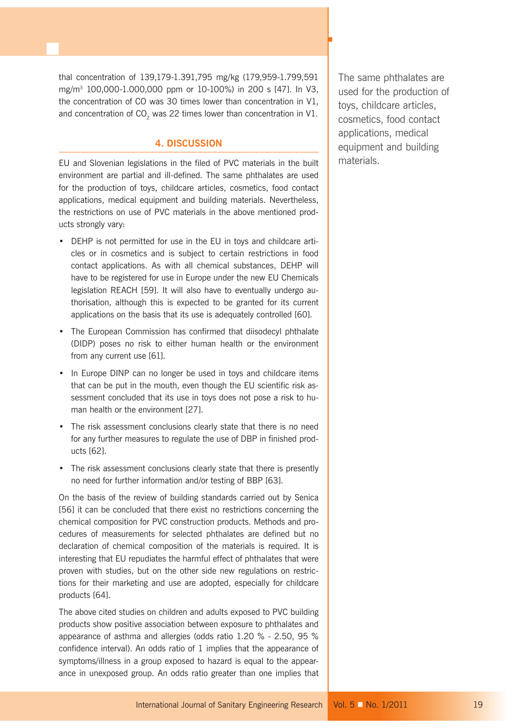thal concentration of 139,179-1.391,795 mg/kg (179,959-1.799,591 mg/m3 100,000-1.000,000 ppm or 10-100%) in 200 s [47]. In V3, the concentration of CO was 30 times lower than concentration in V1, and concentration of  $CO<sub>2</sub>$  was 22 times lower than concentration in V1.

## **4. DISCUSSION**

EU and Slovenian legislations in the filed of PVC materials in the built environment are partial and ill-defined. The same phthalates are used for the production of toys, childcare articles, cosmetics, food contact applications, medical equipment and building materials. Nevertheless, the restrictions on use of PVC materials in the above mentioned products strongly vary:

- DEHP is not permitted for use in the EU in toys and childcare articles or in cosmetics and is subject to certain restrictions in food contact applications. As with all chemical substances, DEHP will have to be registered for use in Europe under the new EU Chemicals legislation REACH [59]. It will also have to eventually undergo authorisation, although this is expected to be granted for its current applications on the basis that its use is adequately controlled [60].
- The European Commission has confirmed that diisodecyl phthalate (DIDP) poses no risk to either human health or the environment from any current use [61].
- In Europe DINP can no longer be used in toys and childcare items that can be put in the mouth, even though the EU scientific risk assessment concluded that its use in toys does not pose a risk to human health or the environment [27].
- The risk assessment conclusions clearly state that there is no need for any further measures to regulate the use of DBP in finished products [62].
- The risk assessment conclusions clearly state that there is presently no need for further information and/or testing of BBP [63].

On the basis of the review of building standards carried out by Senica [56] it can be concluded that there exist no restrictions concerning the chemical composition for PVC construction products. Methods and procedures of measurements for selected phthalates are defined but no declaration of chemical composition of the materials is required. It is interesting that EU repudiates the harmful effect of phthalates that were proven with studies, but on the other side new regulations on restrictions for their marketing and use are adopted, especially for childcare products [64].

The above cited studies on children and adults exposed to PVC building products show positive association between exposure to phthalates and appearance of asthma and allergies (odds ratio 1.20 % - 2.50, 95 % confidence interval). An odds ratio of 1 implies that the appearance of symptoms/illness in a group exposed to hazard is equal to the appearance in unexposed group. An odds ratio greater than one implies that The same phthalates are used for the production of toys, childcare articles, cosmetics, food contact applications, medical equipment and building materials.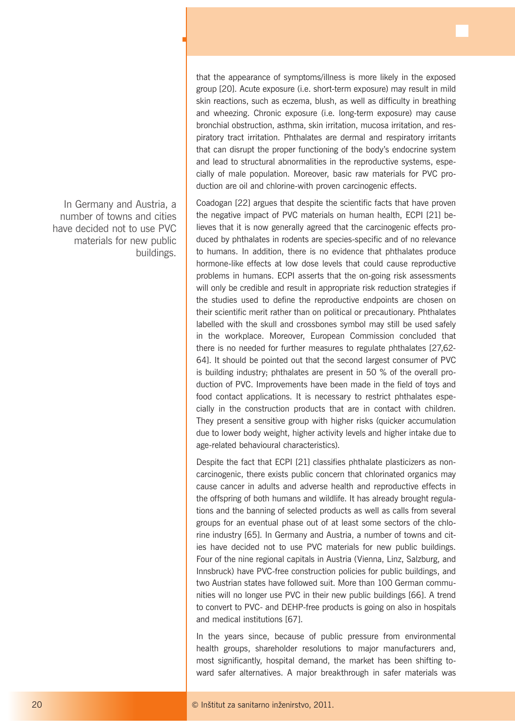In Germany and Austria, a number of towns and cities have decided not to use PVC materials for new public buildings.

ц

that the appearance of symptoms/illness is more likely in the exposed group [20]. Acute exposure (i.e. short-term exposure) may result in mild skin reactions, such as eczema, blush, as well as difficulty in breathing and wheezing. Chronic exposure (i.e. long-term exposure) may cause bronchial obstruction, asthma, skin irritation, mucosa irritation, and respiratory tract irritation. Phthalates are dermal and respiratory irritants that can disrupt the proper functioning of the body's endocrine system and lead to structural abnormalities in the reproductive systems, especially of male population. Moreover, basic raw materials for PVC production are oil and chlorine-with proven carcinogenic effects.

Coadogan [22] argues that despite the scientific facts that have proven the negative impact of PVC materials on human health, ECPI [21] believes that it is now generally agreed that the carcinogenic effects produced by phthalates in rodents are species-specific and of no relevance to humans. In addition, there is no evidence that phthalates produce hormone-like effects at low dose levels that could cause reproductive problems in humans. ECPI asserts that the on-going risk assessments will only be credible and result in appropriate risk reduction strategies if the studies used to define the reproductive endpoints are chosen on their scientific merit rather than on political or precautionary. Phthalates labelled with the skull and crossbones symbol may still be used safely in the workplace. Moreover, European Commission concluded that there is no needed for further measures to regulate phthalates [27,62- 64]. It should be pointed out that the second largest consumer of PVC is building industry; phthalates are present in 50 % of the overall production of PVC. Improvements have been made in the field of toys and food contact applications. It is necessary to restrict phthalates especially in the construction products that are in contact with children. They present a sensitive group with higher risks (quicker accumulation due to lower body weight, higher activity levels and higher intake due to age-related behavioural characteristics).

Despite the fact that ECPI [21] classifies phthalate plasticizers as noncarcinogenic, there exists public concern that chlorinated organics may cause cancer in adults and adverse health and reproductive effects in the offspring of both humans and wildlife. It has already brought regulations and the banning of selected products as well as calls from several groups for an eventual phase out of at least some sectors of the chlorine industry [65]. In Germany and Austria, a number of towns and cities have decided not to use PVC materials for new public buildings. Four of the nine regional capitals in Austria (Vienna, Linz, Salzburg, and Innsbruck) have PVC-free construction policies for public buildings, and two Austrian states have followed suit. More than 100 German communities will no longer use PVC in their new public buildings [66]. A trend to convert to PVC- and DEHP-free products is going on also in hospitals and medical institutions [67].

In the years since, because of public pressure from environmental health groups, shareholder resolutions to major manufacturers and, most significantly, hospital demand, the market has been shifting toward safer alternatives. A major breakthrough in safer materials was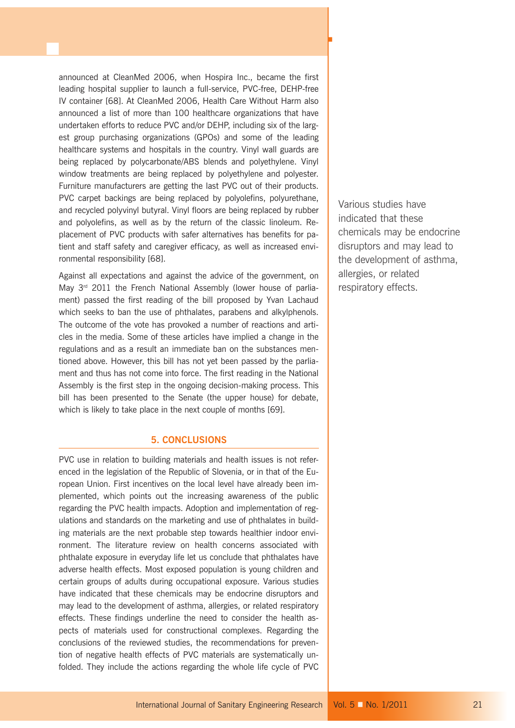announced at CleanMed 2006, when Hospira Inc., became the first leading hospital supplier to launch a full-service, PVC-free, DEHP-free IV container [68]. At CleanMed 2006, Health Care Without Harm also announced a list of more than 100 healthcare organizations that have undertaken efforts to reduce PVC and/or DEHP, including six of the largest group purchasing organizations (GPOs) and some of the leading healthcare systems and hospitals in the country. Vinyl wall guards are being replaced by polycarbonate/ABS blends and polyethylene. Vinyl window treatments are being replaced by polyethylene and polyester. Furniture manufacturers are getting the last PVC out of their products. PVC carpet backings are being replaced by polyolefins, polyurethane, and recycled polyvinyl butyral. Vinyl floors are being replaced by rubber and polyolefins, as well as by the return of the classic linoleum. Replacement of PVC products with safer alternatives has benefits for patient and staff safety and caregiver efficacy, as well as increased environmental responsibility [68].

Against all expectations and against the advice of the government, on May 3<sup>rd</sup> 2011 the French National Assembly (lower house of parliament) passed the first reading of the bill proposed by Yvan Lachaud which seeks to ban the use of phthalates, parabens and alkylphenols. The outcome of the vote has provoked a number of reactions and articles in the media. Some of these articles have implied a change in the regulations and as a result an immediate ban on the substances mentioned above. However, this bill has not yet been passed by the parliament and thus has not come into force. The first reading in the National Assembly is the first step in the ongoing decision-making process. This bill has been presented to the Senate (the upper house) for debate, which is likely to take place in the next couple of months [69].

## **5. CONCLUSIONS**

PVC use in relation to building materials and health issues is not referenced in the legislation of the Republic of Slovenia, or in that of the European Union. First incentives on the local level have already been implemented, which points out the increasing awareness of the public regarding the PVC health impacts. Adoption and implementation of regulations and standards on the marketing and use of phthalates in building materials are the next probable step towards healthier indoor environment. The literature review on health concerns associated with phthalate exposure in everyday life let us conclude that phthalates have adverse health effects. Most exposed population is young children and certain groups of adults during occupational exposure. Various studies have indicated that these chemicals may be endocrine disruptors and may lead to the development of asthma, allergies, or related respiratory effects. These findings underline the need to consider the health aspects of materials used for constructional complexes. Regarding the conclusions of the reviewed studies, the recommendations for prevention of negative health effects of PVC materials are systematically unfolded. They include the actions regarding the whole life cycle of PVC Various studies have indicated that these chemicals may be endocrine disruptors and may lead to the development of asthma, allergies, or related respiratory effects.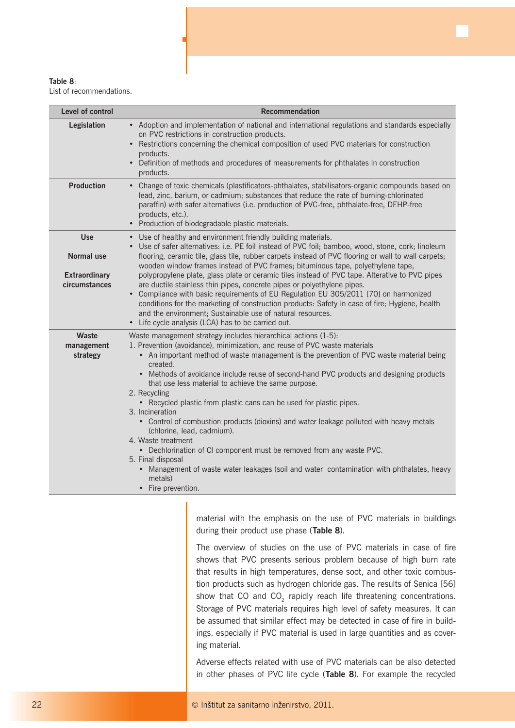

List of recommendations.

ц

| Level of control                                                         | Recommendation                                                                                                                                                                                                                                                                                                                                                                                                                                                                                                                                                                                                                                                                                                                                                                                                                                                                         |
|--------------------------------------------------------------------------|----------------------------------------------------------------------------------------------------------------------------------------------------------------------------------------------------------------------------------------------------------------------------------------------------------------------------------------------------------------------------------------------------------------------------------------------------------------------------------------------------------------------------------------------------------------------------------------------------------------------------------------------------------------------------------------------------------------------------------------------------------------------------------------------------------------------------------------------------------------------------------------|
| Legislation                                                              | • Adoption and implementation of national and international regulations and standards especially<br>on PVC restrictions in construction products.<br>• Restrictions concerning the chemical composition of used PVC materials for construction<br>products.<br>• Definition of methods and procedures of measurements for phthalates in construction<br>products.                                                                                                                                                                                                                                                                                                                                                                                                                                                                                                                      |
| <b>Production</b>                                                        | • Change of toxic chemicals (plastificators-phthalates, stabilisators-organic compounds based on<br>lead, zinc, barium, or cadmium; substances that reduce the rate of burning-chlorinated<br>paraffin) with safer alternatives (i.e. production of PVC-free, phthalate-free, DEHP-free<br>products, etc.).<br>• Production of biodegradable plastic materials.                                                                                                                                                                                                                                                                                                                                                                                                                                                                                                                        |
| <b>Use</b><br><b>Normal use</b><br><b>Extraordinary</b><br>circumstances | • Use of healthy and environment friendly building materials.<br>• Use of safer alternatives: i.e. PE foil instead of PVC foil; bamboo, wood, stone, cork; linoleum<br>flooring, ceramic tile, glass tile, rubber carpets instead of PVC flooring or wall to wall carpets;<br>wooden window frames instead of PVC frames; bituminous tape, polyethylene tape,<br>polypropylene plate, glass plate or ceramic tiles instead of PVC tape. Alterative to PVC pipes<br>are ductile stainless thin pipes, concrete pipes or polyethylene pipes.<br>Compliance with basic requirements of EU Regulation EU 305/2011 [70] on harmonized<br>$\bullet$<br>conditions for the marketing of construction products: Safety in case of fire; Hygiene, health<br>and the environment; Sustainable use of natural resources.<br>• Life cycle analysis (LCA) has to be carried out.                    |
| Waste<br>management<br>strategy                                          | Waste management strategy includes hierarchical actions (1-5):<br>1. Prevention (avoidance), minimization, and reuse of PVC waste materials<br>• An important method of waste management is the prevention of PVC waste material being<br>created.<br>• Methods of avoidance include reuse of second-hand PVC products and designing products<br>that use less material to achieve the same purpose.<br>2. Recycling<br>• Recycled plastic from plastic cans can be used for plastic pipes.<br>3. Incineration<br>• Control of combustion products (dioxins) and water leakage polluted with heavy metals<br>(chlorine, lead, cadmium).<br>4. Waste treatment<br>• Dechlorination of CI component must be removed from any waste PVC.<br>5. Final disposal<br>• Management of waste water leakages (soil and water contamination with phthalates, heavy<br>metals)<br>Fire prevention. |

material with the emphasis on the use of PVC materials in buildings during their product use phase (**Table 8**).

The overview of studies on the use of PVC materials in case of fire shows that PVC presents serious problem because of high burn rate that results in high temperatures, dense soot, and other toxic combustion products such as hydrogen chloride gas. The results of Senica [56] show that CO and  $CO<sub>2</sub>$  rapidly reach life threatening concentrations. Storage of PVC materials requires high level of safety measures. It can be assumed that similar effect may be detected in case of fire in buildings, especially if PVC material is used in large quantities and as covering material.

Adverse effects related with use of PVC materials can be also detected in other phases of PVC life cycle (**Table 8**). For example the recycled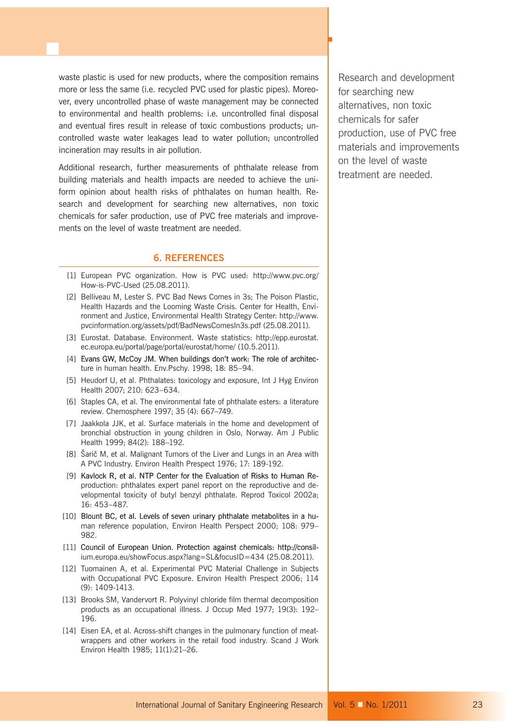waste plastic is used for new products, where the composition remains more or less the same (i.e. recycled PVC used for plastic pipes). Moreover, every uncontrolled phase of waste management may be connected to environmental and health problems: i.e. uncontrolled final disposal and eventual fires result in release of toxic combustions products; uncontrolled waste water leakages lead to water pollution; uncontrolled incineration may results in air pollution.

Additional research, further measurements of phthalate release from building materials and health impacts are needed to achieve the uniform opinion about health risks of phthalates on human health. Research and development for searching new alternatives, non toxic chemicals for safer production, use of PVC free materials and improvements on the level of waste treatment are needed.

## **6. REFERENCES**

- [1] European PVC organization. How is PVC used: http://www.pvc.org/ How-is-PVC-Used (25.08.2011).
- [2] Belliveau M, Lester S. PVC Bad News Comes in 3s; The Poison Plastic, Health Hazards and the Looming Waste Crisis. Center for Health, Environment and Justice, Environmental Health Strategy Center: http://www. pvcinformation.org/assets/pdf/BadNewsComesIn3s.pdf (25.08.2011).
- [3] Eurostat. Database. Environment. Waste statistics: http://epp.eurostat. ec.europa.eu/portal/page/portal/eurostat/home/ (10.5.2011).
- [4] Evans GW, McCoy JM. When buildings don't work: The role of architecture in human health. Env.Pschy. 1998; 18: 85–94.
- [5] Heudorf U, et al. Phthalates: toxicology and exposure, Int J Hyg Environ Health 2007; 210: 623–634.
- [6] Staples CA, et al. The environmental fate of phthalate esters: a literature review. Chemosphere 1997; 35 (4): 667–749.
- [7] Jaakkola JJK, et al. Surface materials in the home and development of bronchial obstruction in young children in Oslo, Norway. Am J Public Health 1999; 84(2): 188–192.
- [8] Šarič M, et al. Malignant Tumors of the Liver and Lungs in an Area with A PVC Industry. Environ Health Prespect 1976; 17: 189-192.
- [9] Kavlock R, et al. NTP Center for the Evaluation of Risks to Human Reproduction: phthalates expert panel report on the reproductive and developmental toxicity of butyl benzyl phthalate. Reprod Toxicol 2002a; 16: 453–487.
- [10] Blount BC, et al. Levels of seven urinary phthalate metabolites in a human reference population, Environ Health Perspect 2000; 108: 979– 982.
- [11] Council of European Union. Protection against chemicals: http://consilium.europa.eu/showFocus.aspx?lang=SL&focusID=434 (25.08.2011).
- [12] Tuomainen A, et al. Experimental PVC Material Challenge in Subjects with Occupational PVC Exposure. Environ Health Prespect 2006; 114 (9): 1409-1413.
- [13] Brooks SM, Vandervort R. Polyvinyl chloride film thermal decomposition products as an occupational illness. J Occup Med 1977; 19(3): 192– 196.
- [14] Eisen EA, et al. Across-shift changes in the pulmonary function of meatwrappers and other workers in the retail food industry. Scand J Work Environ Health 1985; 11(1):21–26.

Research and development for searching new alternatives, non toxic chemicals for safer production, use of PVC free materials and improvements on the level of waste treatment are needed.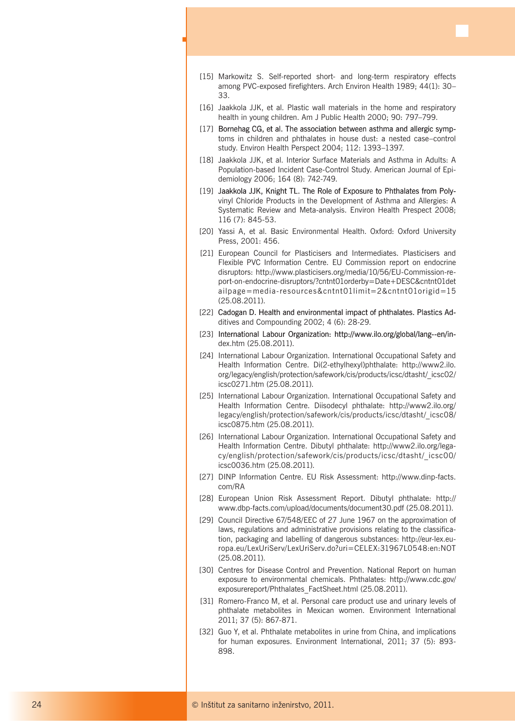ц

- [16] Jaakkola JJK, et al. Plastic wall materials in the home and respiratory health in young children. Am J Public Health 2000; 90: 797–799.
- [17] Bornehag CG, et al. The association between asthma and allergic symptoms in children and phthalates in house dust: a nested case–control study. Environ Health Perspect 2004; 112: 1393–1397.
- [18] Jaakkola JJK, et al. Interior Surface Materials and Asthma in Adults: A Population-based Incident Case-Control Study. American Journal of Epidemiology 2006; 164 (8): 742-749.
- [19] Jaakkola JJK, Knight TL. The Role of Exposure to Phthalates from Polyvinyl Chloride Products in the Development of Asthma and Allergies: A Systematic Review and Meta-analysis. Environ Health Prespect 2008; 116 (7): 845-53.
- [20] Yassi A, et al. Basic Environmental Health. Oxford: Oxford University Press, 2001: 456.
- [21] European Council for Plasticisers and Intermediates. Plasticisers and Flexible PVC Information Centre. EU Commission report on endocrine disruptors: http://www.plasticisers.org/media/10/56/EU-Commission-report-on-endocrine-disruptors/?cntnt01orderby=Date+DESC&cntnt01det ailpage=media-resources&cntnt01limit=2&cntnt01origid=15 (25.08.2011).
- [22] Cadogan D. Health and environmental impact of phthalates. Plastics Additives and Compounding 2002; 4 (6): 28-29.
- [23] International Labour Organization: http://www.ilo.org/global/lang--en/index.htm (25.08.2011).
- [24] International Labour Organization. International Occupational Safety and Health Information Centre. Di(2-ethylhexyl)phthalate: http://www2.ilo. org/legacy/english/protection/safework/cis/products/icsc/dtasht/\_icsc02/ icsc0271.htm (25.08.2011).
- [25] International Labour Organization. International Occupational Safety and Health Information Centre. Diisodecyl phthalate: http://www2.ilo.org/ legacy/english/protection/safework/cis/products/icsc/dtasht/\_icsc08/ icsc0875.htm (25.08.2011).
- [26] International Labour Organization. International Occupational Safety and Health Information Centre. Dibutyl phthalate: http://www2.ilo.org/legacy/english/protection/safework/cis/products/icsc/dtasht/\_icsc00/ icsc0036.htm (25.08.2011).
- [27] DINP Information Centre. EU Risk Assessment: http://www.dinp-facts. com/RA
- [28] European Union Risk Assessment Report. Dibutyl phthalate: http:// www.dbp-facts.com/upload/documents/document30.pdf (25.08.2011).
- [29] Council Directive 67/548/EEC of 27 June 1967 on the approximation of laws, regulations and administrative provisions relating to the classification, packaging and labelling of dangerous substances: http://eur-lex.europa.eu/LexUriServ/LexUriServ.do?uri=CELEX:31967L0548:en:NOT (25.08.2011).
- [30] Centres for Disease Control and Prevention. National Report on human exposure to environmental chemicals. Phthalates: http://www.cdc.gov/ exposurereport/Phthalates\_FactSheet.html (25.08.2011).
- [31] Romero-Franco M, et al. Personal care product use and urinary levels of phthalate metabolites in Mexican women. Environment International 2011; 37 (5): 867-871.
- [32] Guo Y, et al. Phthalate metabolites in urine from China, and implications for human exposures. Environment International, 2011; 37 (5): 893- 898.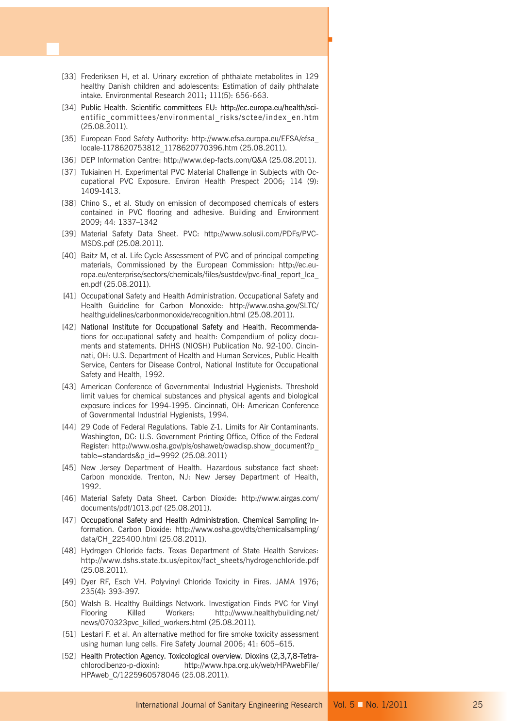[33] Frederiksen H, et al. Urinary excretion of phthalate metabolites in 129 healthy Danish children and adolescents: Estimation of daily phthalate intake. Environmental Research 2011; 111(5): 656-663.

- [34] Public Health. Scientific committees EU: http://ec.europa.eu/health/scientific\_committees/environmental\_risks/sctee/index\_en.htm (25.08.2011).
- [35] European Food Safety Authority: http://www.efsa.europa.eu/EFSA/efsa locale-1178620753812\_1178620770396.htm (25.08.2011).
- [36] DEP Information Centre: http://www.dep-facts.com/Q&A (25.08.2011).
- [37] Tukiainen H. Experimental PVC Material Challenge in Subjects with Occupational PVC Exposure. Environ Health Prespect 2006; 114 (9): 1409-1413.
- [38] Chino S., et al. Study on emission of decomposed chemicals of esters contained in PVC flooring and adhesive. Building and Environment 2009; 44: 1337–1342
- [39] Material Safety Data Sheet. PVC: http://www.solusii.com/PDFs/PVC-MSDS.pdf (25.08.2011).
- [40] Baitz M, et al. Life Cycle Assessment of PVC and of principal competing materials, Commissioned by the European Commission: http://ec.europa.eu/enterprise/sectors/chemicals/files/sustdev/pvc-final\_report\_lca\_ en.pdf (25.08.2011).
- [41] Occupational Safety and Health Administration. Occupational Safety and Health Guideline for Carbon Monoxide: http://www.osha.gov/SLTC/ healthguidelines/carbonmonoxide/recognition.html (25.08.2011).
- [42] National Institute for Occupational Safety and Health. Recommendations for occupational safety and health: Compendium of policy documents and statements. DHHS (NIOSH) Publication No. 92-100. Cincinnati, OH: U.S. Department of Health and Human Services, Public Health Service, Centers for Disease Control, National Institute for Occupational Safety and Health, 1992.
- [43] American Conference of Governmental Industrial Hygienists. Threshold limit values for chemical substances and physical agents and biological exposure indices for 1994-1995. Cincinnati, OH: American Conference of Governmental Industrial Hygienists, 1994.
- [44] 29 Code of Federal Regulations. Table Z-1. Limits for Air Contaminants. Washington, DC: U.S. Government Printing Office, Office of the Federal Register: http://www.osha.gov/pls/oshaweb/owadisp.show\_document?p\_ table=standards&p\_id=9992 (25.08.2011)
- [45] New Jersey Department of Health. Hazardous substance fact sheet: Carbon monoxide. Trenton, NJ: New Jersey Department of Health, 1992.
- [46] Material Safety Data Sheet. Carbon Dioxide: http://www.airgas.com/ documents/pdf/1013.pdf (25.08.2011).
- [47] Occupational Safety and Health Administration. Chemical Sampling Information. Carbon Dioxide: http://www.osha.gov/dts/chemicalsampling/ data/CH\_225400.html (25.08.2011).
- [48] Hydrogen Chloride facts. Texas Department of State Health Services: http://www.dshs.state.tx.us/epitox/fact\_sheets/hydrogenchloride.pdf (25.08.2011).
- [49] Dyer RF, Esch VH. Polyvinyl Chloride Toxicity in Fires. JAMA 1976; 235(4): 393-397.
- [50] Walsh B. Healthy Buildings Network. Investigation Finds PVC for Vinyl Flooring Killed Workers: http://www.healthybuilding.net/ news/070323pvc\_killed\_workers.html (25.08.2011).
- [51] Lestari F. et al. An alternative method for fire smoke toxicity assessment using human lung cells. Fire Safety Journal 2006; 41: 605–615.
- [52] Health Protection Agency. Toxicological overview. Dioxins (2,3,7,8-Tetrachlorodibenzo-p-dioxin): http://www.hpa.org.uk/web/HPAwebFile/ HPAweb\_C/1225960578046 (25.08.2011).